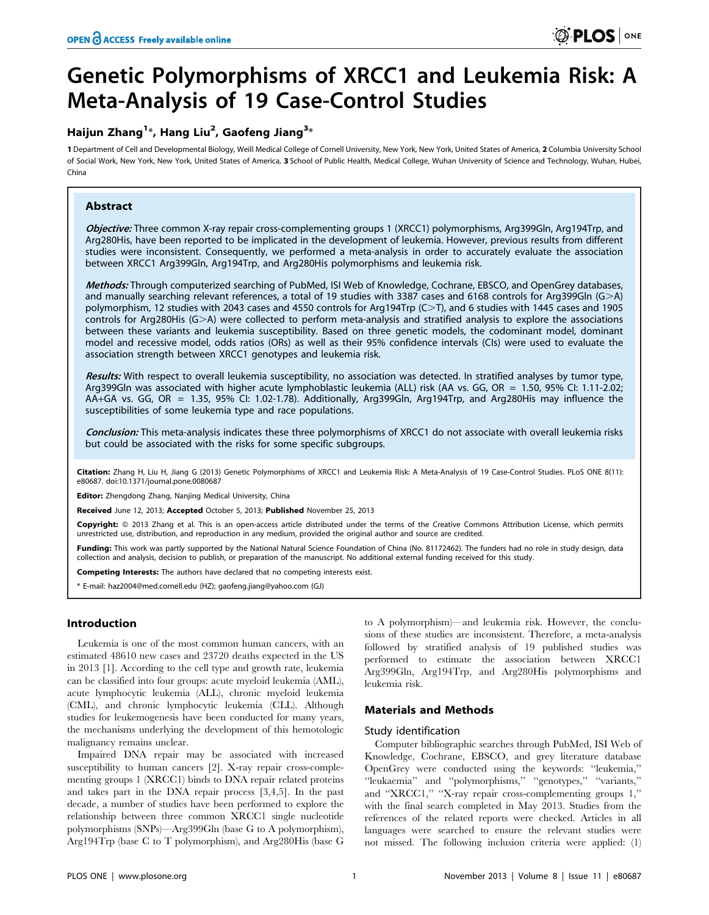# Genetic Polymorphisms of XRCC1 and Leukemia Risk: A Meta-Analysis of 19 Case-Control Studies

# Haijun Zhang $^{1\ast}$ , Hang Liu $^{2}$ , Gaofeng Jiang $^{3\ast}$

1 Department of Cell and Developmental Biology, Weill Medical College of Cornell University, New York, New York, United States of America, 2 Columbia University School of Social Work, New York, New York, United States of America, 3 School of Public Health, Medical College, Wuhan University of Science and Technology, Wuhan, Hubei, China

# Abstract

Objective: Three common X-ray repair cross-complementing groups 1 (XRCC1) polymorphisms, Arg399Gln, Arg194Trp, and Arg280His, have been reported to be implicated in the development of leukemia. However, previous results from different studies were inconsistent. Consequently, we performed a meta-analysis in order to accurately evaluate the association between XRCC1 Arg399Gln, Arg194Trp, and Arg280His polymorphisms and leukemia risk.

Methods: Through computerized searching of PubMed, ISI Web of Knowledge, Cochrane, EBSCO, and OpenGrey databases, and manually searching relevant references, a total of 19 studies with 3387 cases and 6168 controls for Arg399Gln (G>A) polymorphism, 12 studies with 2043 cases and 4550 controls for Arg194Trp (C>T), and 6 studies with 1445 cases and 1905 controls for Arg280His  $(G>A)$  were collected to perform meta-analysis and stratified analysis to explore the associations between these variants and leukemia susceptibility. Based on three genetic models, the codominant model, dominant model and recessive model, odds ratios (ORs) as well as their 95% confidence intervals (CIs) were used to evaluate the association strength between XRCC1 genotypes and leukemia risk.

Results: With respect to overall leukemia susceptibility, no association was detected. In stratified analyses by tumor type, Arg399Gln was associated with higher acute lymphoblastic leukemia (ALL) risk (AA vs. GG, OR = 1.50, 95% CI: 1.11-2.02; AA+GA vs. GG, OR = 1.35, 95% CI: 1.02-1.78). Additionally, Arg399Gln, Arg194Trp, and Arg280His may influence the susceptibilities of some leukemia type and race populations.

Conclusion: This meta-analysis indicates these three polymorphisms of XRCC1 do not associate with overall leukemia risks but could be associated with the risks for some specific subgroups.

Citation: Zhang H, Liu H, Jiang G (2013) Genetic Polymorphisms of XRCC1 and Leukemia Risk: A Meta-Analysis of 19 Case-Control Studies. PLoS ONE 8(11): e80687. doi:10.1371/journal.pone.0080687

Editor: Zhengdong Zhang, Nanjing Medical University, China

Received June 12, 2013; Accepted October 5, 2013; Published November 25, 2013

Copyright: © 2013 Zhang et al. This is an open-access article distributed under the terms of the Creative Commons Attribution License, which permits unrestricted use, distribution, and reproduction in any medium, provided the original author and source are credited.

Funding: This work was partly supported by the National Natural Science Foundation of China (No. 81172462). The funders had no role in study design, data collection and analysis, decision to publish, or preparation of the manuscript. No additional external funding received for this study.

Competing Interests: The authors have declared that no competing interests exist.

\* E-mail: haz2004@med.cornell.edu (HZ); gaofeng.jiang@yahoo.com (GJ)

# Introduction

Leukemia is one of the most common human cancers, with an estimated 48610 new cases and 23720 deaths expected in the US in 2013 [1]. According to the cell type and growth rate, leukemia can be classified into four groups: acute myeloid leukemia (AML), acute lymphocytic leukemia (ALL), chronic myeloid leukemia (CML), and chronic lymphocytic leukemia (CLL). Although studies for leukemogenesis have been conducted for many years, the mechanisms underlying the development of this hemotologic malignancy remains unclear.

Impaired DNA repair may be associated with increased susceptibility to human cancers [2]. X-ray repair cross-complementing groups 1 (XRCC1) binds to DNA repair related proteins and takes part in the DNA repair process [3,4,5]. In the past decade, a number of studies have been performed to explore the relationship between three common XRCC1 single nucleotide polymorphisms (SNPs)—Arg399Gln (base G to A polymorphism), Arg194Trp (base C to T polymorphism), and Arg280His (base G to A polymorphism)—and leukemia risk. However, the conclusions of these studies are inconsistent. Therefore, a meta-analysis followed by stratified analysis of 19 published studies was performed to estimate the association between XRCC1 Arg399Gln, Arg194Trp, and Arg280His polymorphisms and leukemia risk.

#### Materials and Methods

#### Study identification

Computer bibliographic searches through PubMed, ISI Web of Knowledge, Cochrane, EBSCO, and grey literature database OpenGrey were conducted using the keywords: ''leukemia,'' ''leukaemia'' and ''polymorphisms,'' ''genotypes,'' ''variants,'' and ''XRCC1,'' ''X-ray repair cross-complementing groups 1,'' with the final search completed in May 2013. Studies from the references of the related reports were checked. Articles in all languages were searched to ensure the relevant studies were not missed. The following inclusion criteria were applied: (1)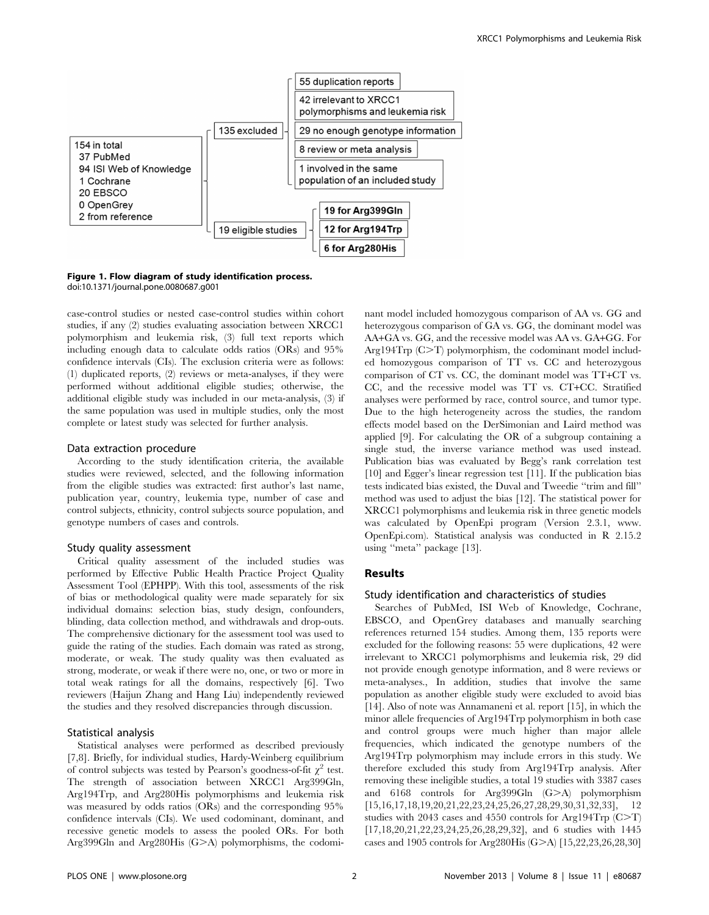

Figure 1. Flow diagram of study identification process. doi:10.1371/journal.pone.0080687.g001

case-control studies or nested case-control studies within cohort studies, if any (2) studies evaluating association between XRCC1 polymorphism and leukemia risk, (3) full text reports which including enough data to calculate odds ratios (ORs) and 95% confidence intervals (CIs). The exclusion criteria were as follows: (1) duplicated reports, (2) reviews or meta-analyses, if they were performed without additional eligible studies; otherwise, the additional eligible study was included in our meta-analysis, (3) if the same population was used in multiple studies, only the most complete or latest study was selected for further analysis.

#### Data extraction procedure

According to the study identification criteria, the available studies were reviewed, selected, and the following information from the eligible studies was extracted: first author's last name, publication year, country, leukemia type, number of case and control subjects, ethnicity, control subjects source population, and genotype numbers of cases and controls.

#### Study quality assessment

Critical quality assessment of the included studies was performed by Effective Public Health Practice Project Quality Assessment Tool (EPHPP). With this tool, assessments of the risk of bias or methodological quality were made separately for six individual domains: selection bias, study design, confounders, blinding, data collection method, and withdrawals and drop-outs. The comprehensive dictionary for the assessment tool was used to guide the rating of the studies. Each domain was rated as strong, moderate, or weak. The study quality was then evaluated as strong, moderate, or weak if there were no, one, or two or more in total weak ratings for all the domains, respectively [6]. Two reviewers (Haijun Zhang and Hang Liu) independently reviewed the studies and they resolved discrepancies through discussion.

#### Statistical analysis

Statistical analyses were performed as described previously [7,8]. Briefly, for individual studies, Hardy-Weinberg equilibrium of control subjects was tested by Pearson's goodness-of-fit  $\chi^2$  test. The strength of association between XRCC1 Arg399Gln, Arg194Trp, and Arg280His polymorphisms and leukemia risk was measured by odds ratios (ORs) and the corresponding 95% confidence intervals (CIs). We used codominant, dominant, and recessive genetic models to assess the pooled ORs. For both Arg399Gln and Arg280His  $(G>A)$  polymorphisms, the codominant model included homozygous comparison of AA vs. GG and heterozygous comparison of GA vs. GG, the dominant model was AA+GA vs. GG, and the recessive model was AA vs. GA+GG. For Arg194 $\mathrm{Trp}$  (C $>$ T) polymorphism, the codominant model included homozygous comparison of TT vs. CC and heterozygous comparison of CT vs. CC, the dominant model was TT+CT vs. CC, and the recessive model was TT vs. CT+CC. Stratified analyses were performed by race, control source, and tumor type. Due to the high heterogeneity across the studies, the random effects model based on the DerSimonian and Laird method was applied [9]. For calculating the OR of a subgroup containing a single stud, the inverse variance method was used instead. Publication bias was evaluated by Begg's rank correlation test [10] and Egger's linear regression test [11]. If the publication bias tests indicated bias existed, the Duval and Tweedie ''trim and fill'' method was used to adjust the bias [12]. The statistical power for XRCC1 polymorphisms and leukemia risk in three genetic models was calculated by OpenEpi program (Version 2.3.1, www. OpenEpi.com). Statistical analysis was conducted in R 2.15.2 using ''meta'' package [13].

## Results

### Study identification and characteristics of studies

Searches of PubMed, ISI Web of Knowledge, Cochrane, EBSCO, and OpenGrey databases and manually searching references returned 154 studies. Among them, 135 reports were excluded for the following reasons: 55 were duplications, 42 were irrelevant to XRCC1 polymorphisms and leukemia risk, 29 did not provide enough genotype information, and 8 were reviews or meta-analyses., In addition, studies that involve the same population as another eligible study were excluded to avoid bias [14]. Also of note was Annamaneni et al. report [15], in which the minor allele frequencies of Arg194Trp polymorphism in both case and control groups were much higher than major allele frequencies, which indicated the genotype numbers of the Arg194Trp polymorphism may include errors in this study. We therefore excluded this study from Arg194Trp analysis. After removing these ineligible studies, a total 19 studies with 3387 cases and  $6168$  controls for Arg399Gln  $(G>A)$  polymorphism [15,16,17,18,19,20,21,22,23,24,25,26,27,28,29,30,31,32,33], 12 studies with 2043 cases and 4550 controls for Arg194Trp  $(C>T)$ [17,18,20,21,22,23,24,25,26,28,29,32], and 6 studies with 1445 cases and 1905 controls for Arg280His (G>A) [15,22,23,26,28,30]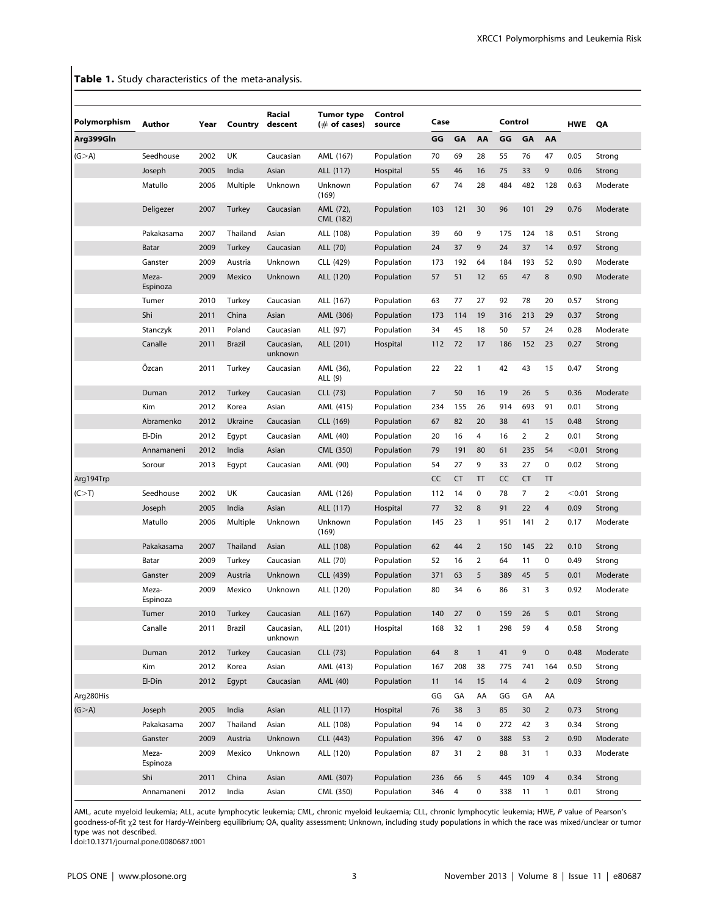Table 1. Study characteristics of the meta-analysis.

|              |                   |      |               | Racial                | <b>Tumor type</b>      | Control    |      |         |                |         |                |                |            |          |
|--------------|-------------------|------|---------------|-----------------------|------------------------|------------|------|---------|----------------|---------|----------------|----------------|------------|----------|
| Polymorphism | <b>Author</b>     | Year | Country       | descent               | $(\#$ of cases)        | source     | Case |         |                | Control |                |                | <b>HWE</b> | QA       |
| Arg399Gln    |                   |      |               |                       |                        |            | GG   | GA      | AA             | GG      | GA             | AA             |            |          |
| (G > A)      | Seedhouse         | 2002 | UK            | Caucasian             | AML (167)              | Population | 70   | 69      | 28             | 55      | 76             | 47             | 0.05       | Strong   |
|              | Joseph            | 2005 | India         | Asian                 | ALL (117)              | Hospital   | 55   | 46      | 16             | 75      | 33             | 9              | 0.06       | Strong   |
|              | Matullo           | 2006 | Multiple      | Unknown               | Unknown<br>(169)       | Population | 67   | 74      | 28             | 484     | 482            | 128            | 0.63       | Moderate |
|              | Deligezer         | 2007 | Turkey        | Caucasian             | AML (72),<br>CML (182) | Population | 103  | 121     | 30             | 96      | 101            | 29             | 0.76       | Moderate |
|              | Pakakasama        | 2007 | Thailand      | Asian                 | ALL (108)              | Population | 39   | 60      | 9              | 175     | 124            | 18             | 0.51       | Strong   |
|              | Batar             | 2009 | <b>Turkey</b> | Caucasian             | ALL (70)               | Population | 24   | 37      | 9              | 24      | 37             | 14             | 0.97       | Strong   |
|              | Ganster           | 2009 | Austria       | Unknown               | CLL (429)              | Population | 173  | 192     | 64             | 184     | 193            | 52             | 0.90       | Moderate |
|              | Meza-<br>Espinoza | 2009 | Mexico        | Unknown               | ALL (120)              | Population | 57   | 51      | 12             | 65      | 47             | 8              | 0.90       | Moderate |
|              | Tumer             | 2010 | Turkey        | Caucasian             | ALL (167)              | Population | 63   | 77      | 27             | 92      | 78             | 20             | 0.57       | Strong   |
|              | Shi               | 2011 | China         | Asian                 | AML (306)              | Population | 173  | 114     | 19             | 316     | 213            | 29             | 0.37       | Strong   |
|              | Stanczyk          | 2011 | Poland        | Caucasian             | ALL (97)               | Population | 34   | 45      | 18             | 50      | 57             | 24             | 0.28       | Moderate |
|              | Canalle           | 2011 | Brazil        | Caucasian,<br>unknown | ALL (201)              | Hospital   | 112  | 72      | 17             | 186     | 152            | 23             | 0.27       | Strong   |
|              | Özcan             | 2011 | Turkey        | Caucasian             | AML (36),<br>ALL (9)   | Population | 22   | 22      | $\mathbf{1}$   | 42      | 43             | 15             | 0.47       | Strong   |
|              | Duman             | 2012 | Turkey        | Caucasian             | CLL (73)               | Population | 7    | 50      | 16             | 19      | 26             | 5              | 0.36       | Moderate |
|              | Kim               | 2012 | Korea         | Asian                 | AML (415)              | Population | 234  | 155     | 26             | 914     | 693            | 91             | 0.01       | Strong   |
|              | Abramenko         | 2012 | Ukraine       | Caucasian             | CLL (169)              | Population | 67   | 82      | 20             | 38      | 41             | 15             | 0.48       | Strong   |
|              | El-Din            | 2012 | Egypt         | Caucasian             | AML (40)               | Population | 20   | 16      | 4              | 16      | $\overline{2}$ | $\overline{2}$ | 0.01       | Strong   |
|              | Annamaneni        | 2012 | India         | Asian                 | CML (350)              | Population | 79   | 191     | 80             | 61      | 235            | 54             | < 0.01     | Strong   |
|              | Sorour            | 2013 | Egypt         | Caucasian             | AML (90)               | Population | 54   | 27      | 9              | 33      | 27             | 0              | 0.02       | Strong   |
| Arg194Trp    |                   |      |               |                       |                        |            | CC   | CT      | T              | CC      | <b>CT</b>      | π              |            |          |
| (C > T)      | Seedhouse         | 2002 | UK            | Caucasian             | AML (126)              | Population | 112  | 14      | 0              | 78      | 7              | $\overline{2}$ | < 0.01     | Strong   |
|              | Joseph            | 2005 | India         | Asian                 | ALL (117)              | Hospital   | 77   | 32      | 8              | 91      | 22             | 4              | 0.09       | Strong   |
|              | Matullo           | 2006 | Multiple      | Unknown               | Unknown<br>(169)       | Population | 145  | 23      | $\mathbf{1}$   | 951     | 141            | $\overline{2}$ | 0.17       | Moderate |
|              | Pakakasama        | 2007 | Thailand      | Asian                 | ALL (108)              | Population | 62   | 44      | 2              | 150     | 145            | 22             | 0.10       | Strong   |
|              | Batar             | 2009 | Turkey        | Caucasian             | ALL (70)               | Population | 52   | 16      | $\overline{2}$ | 64      | 11             | 0              | 0.49       | Strong   |
|              | Ganster           | 2009 | Austria       | Unknown               | CLL (439)              | Population | 371  | 63      | 5              | 389     | 45             | 5              | 0.01       | Moderate |
|              | Meza-<br>Espinoza | 2009 | Mexico        | Unknown               | ALL (120)              | Population | 80   | 34      | 6              | 86      | 31             | 3              | 0.92       | Moderate |
|              | Tumer             | 2010 | Turkey        | Caucasian             | ALL (167)              | Population | 140  | 27      | $\pmb{0}$      | 159     | 26             | 5              | 0.01       | Strong   |
|              | Canalle           | 2011 | Brazil        | Caucasian,<br>unknown | ALL (201)              | Hospital   | 168  | 32      | $\mathbf{1}$   | 298     | 59             | 4              | 0.58       | Strong   |
|              | Duman             | 2012 | Turkey        | Caucasian             | CLL (73)               | Population | 64   | $\bf 8$ | $\mathbf{1}$   | 41      | 9              | $\pmb{0}$      | 0.48       | Moderate |
|              | Kim               | 2012 | Korea         | Asian                 | AML (413)              | Population | 167  | 208     | 38             | 775     | 741            | 164            | 0.50       | Strong   |
|              | El-Din            | 2012 | Egypt         | Caucasian             | AML (40)               | Population | 11   | 14      | 15             | 14      | $\overline{4}$ | $\overline{2}$ | 0.09       | Strong   |
| Arg280His    |                   |      |               |                       |                        |            | GG   | GA      | AA             | GG      | GA             | AA             |            |          |
| (G > A)      | Joseph            | 2005 | India         | Asian                 | ALL (117)              | Hospital   | 76   | 38      | 3              | 85      | 30             | $\overline{2}$ | 0.73       | Strong   |
|              | Pakakasama        | 2007 | Thailand      | Asian                 | ALL (108)              | Population | 94   | 14      | $\mathbf 0$    | 272     | 42             | 3              | 0.34       | Strong   |
|              | Ganster           | 2009 | Austria       | Unknown               | CLL (443)              | Population | 396  | 47      | $\mathbf 0$    | 388     | 53             | $\overline{2}$ | 0.90       | Moderate |
|              | Meza-<br>Espinoza | 2009 | Mexico        | Unknown               | ALL (120)              | Population | 87   | 31      | $\overline{2}$ | 88      | 31             | $\mathbf{1}$   | 0.33       | Moderate |
|              | Shi               | 2011 | China         | Asian                 | AML (307)              | Population | 236  | 66      | 5              | 445     | 109            | $\overline{4}$ | 0.34       | Strong   |
|              | Annamaneni        | 2012 | India         | Asian                 | CML (350)              | Population | 346  | 4       | $\mathbf 0$    | 338     | 11             | $\mathbf{1}$   | 0.01       | Strong   |

AML, acute myeloid leukemia; ALL, acute lymphocytic leukemia; CML, chronic myeloid leukaemia; CLL, chronic lymphocytic leukemia; HWE, P value of Pearson's goodness-of-fit x2 test for Hardy-Weinberg equilibrium; QA, quality assessment; Unknown, including study populations in which the race was mixed/unclear or tumor type was not described.

doi:10.1371/journal.pone.0080687.t001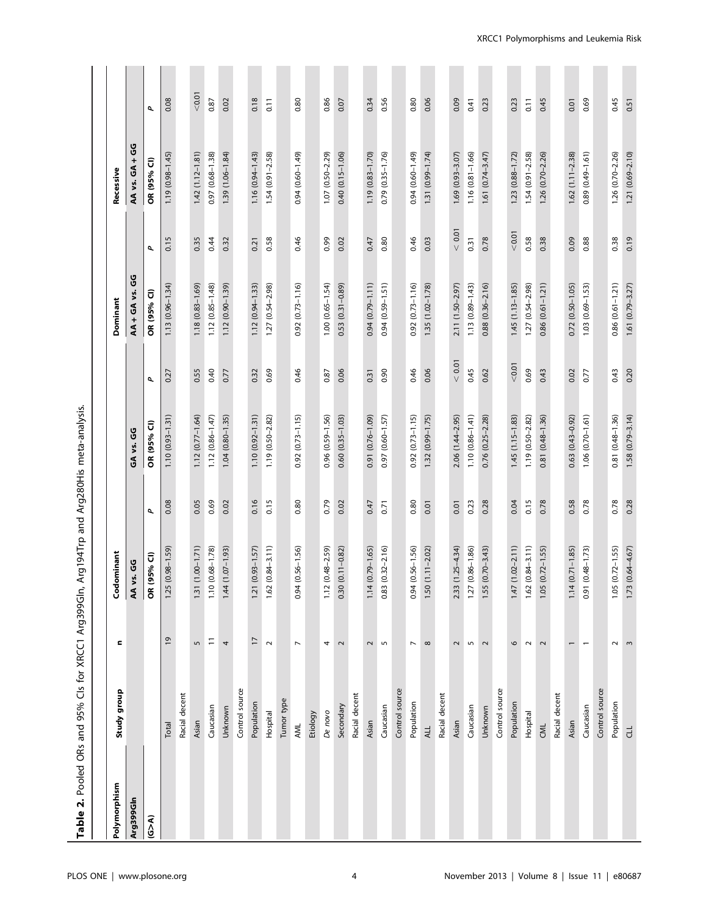| ;<br>;<br>;                                                      |
|------------------------------------------------------------------|
| ORs and 95% Cls for XRCC1 Arg399Gln, Arg194Trp and Arg280His met |
|                                                                  |
|                                                                  |
| Table 2. Pooled Oks and 95% Lis for ARL                          |
|                                                                  |
| $\sim$                                                           |

| Polymorphism | Study group    | c                        | Codominant                  |      |                        |              | Dominant                |          | Recessive              |              |
|--------------|----------------|--------------------------|-----------------------------|------|------------------------|--------------|-------------------------|----------|------------------------|--------------|
| Arg399Gln    |                |                          | AA vs. GG                   |      | GA vs. GG              |              | AA + GA vs. GG          |          | AA vs. GA + GG         |              |
| (6 > A)      |                |                          | 5% CI)<br>OR <sub>(95</sub> | σ    | OR (95% CI)            | $\mathbf{p}$ | OR (95% CI)             | $\sigma$ | OR (95% CI)            | $\mathbf{p}$ |
|              | Total          | $\overline{0}$           | $.98 - 1.59$<br>1.25(0)     | 0.08 | $1.10(0.93 - 1.31)$    | 0.27         | $(0.96 - 1.34)$<br>1.13 | 0.15     | $1.19(0.98 - 1.45)$    | 0.08         |
|              | Racial decent  |                          |                             |      |                        |              |                         |          |                        |              |
|              | Asian          | 5                        | $1.31(1.00-1.71)$           | 0.05 | $1.12(0.77 - 1.64)$    | 0.55         | $1.18(0.83 - 1.69)$     | 0.35     | $1.42(1.12 - 1.81)$    | < 0.01       |
|              | Caucasian      | $\Xi$                    | $1.10(0.68 - 1.78)$         | 0.69 | $1.12(0.86 - 1.47)$    | 0.40         | $1.12(0.85 - 1.48)$     | 0.44     | 0.97 (0.68-1.38)       | 0.87         |
|              | Unknown        | 4                        | $1.44(1.07 - 1.93)$         | 0.02 | $1.04(0.80 - 1.35)$    | 0.77         | $1.12(0.90 - 1.39)$     | 0.32     | $1.39(1.06 - 1.84)$    | 0.02         |
|              | Control source |                          |                             |      |                        |              |                         |          |                        |              |
|              | Population     | $\overline{17}$          | $1.21(0.93 - 1.57)$         | 0.16 | $1.10(0.92 - 1.31)$    | 0.32         | $1.12(0.94 - 1.33)$     | 0.21     | $1.16(0.94 - 1.43)$    | 0.18         |
|              | Hospital       | $\sim$                   | $1.62(0.84 - 3.11)$         | 0.15 | $1.19(0.50 - 2.82)$    | 0.69         | $1.27(0.54 - 2.98)$     | 0.58     | $1.54(0.91 - 2.58)$    | 0.11         |
|              | Tumor type     |                          |                             |      |                        |              |                         |          |                        |              |
|              | AML            | $\overline{ }$           | $0.94(0.56 - 1.56)$         | 0.80 | $0.92(0.73 - 1.15)$    | 0.46         | $0.92(0.73 - 1.16)$     | 0.46     | 0.94 (0.60-1.49)       | 0.80         |
|              | Etiology       |                          |                             |      |                        |              |                         |          |                        |              |
|              | De novo        | 4                        | $1.12(0.48 - 2.59)$         | 0.79 | $0.96(0.59 - 1.56)$    | 0.87         | $1.00(0.65 - 1.54)$     | 0.99     | $1.07(0.50 - 2.29)$    | 0.86         |
|              | Secondary      | $\sim$                   | $0.30(0.11 - 0.82)$         | 0.02 | $0.60(0.35 - 1.03)$    | 0.06         | $0.53(0.31 - 0.89)$     | 0.02     | $0.40(0.15 - 1.06)$    | 0.07         |
|              | Racial decent  |                          |                             |      |                        |              |                         |          |                        |              |
|              | Asian          | 2                        | $1.14(0.79 - 1.65)$         | 0.47 | 0.91 (0.76-1.09)       | 0.31         | $0.94(0.79 - 1.11)$     | 0.47     | 1.19 (0.83-1.70)       | 0.34         |
|              | Caucasian      | $\overline{5}$           | $0.83(0.32 - 2.16)$         | 0.71 | 0.97 (0.60-1.57)       | 0.90         | 0.94 (0.59-1.51)        | 0.80     | 0.79 (0.35-1.76)       | 0.56         |
|              | Control source |                          |                             |      |                        |              |                         |          |                        |              |
|              | Population     | $\overline{\phantom{a}}$ | $0.94(0.56 - 1.56)$         | 0.80 | $0.92(0.73 - 1.15)$    | 0.46         | $0.92(0.73 - 1.16)$     | 0.46     | 0.94 (0.60-1.49)       | 0.80         |
|              | ALL            | $\infty$                 | $1.50(1.11 - 2.02)$         | 0.01 | 1.32 (0.99-1.75)       | 0.06         | $1.35(1.02 - 1.78)$     | 0.03     | 1.31 (0.99-1.74)       | 0.06         |
|              | Racial decent  |                          |                             |      |                        |              |                         |          |                        |              |
|              | Asian          | $\mathbf 2$              | 2.33 (1.25-4.34)            | 0.01 | 2.06 (1.44-2.95)       | < 0.01       | 2.11 (1.50-2.97)        | < 0.01   | $1.69(0.93 - 3.07)$    | 0.09         |
|              | Caucasian      | $\overline{5}$           | $.86 - 1.86$<br>1.27 (0.    | 0.23 | $1.10(0.86 - 1.41)$    | 0.45         | $(0.89 - 1.43)$<br>1.13 | 0.31     | $1.16(0.81 - 1.66)$    | 0.41         |
|              | Unknown        | $\sim$                   | $1.55(0.70 - 3.43)$         | 0.28 | $0.76$ $(0.25 - 2.28)$ | 0.62         | $0.88$ $(0.36 - 2.16)$  | 0.78     | $1.61(0.74 - 3.47)$    | 0.23         |
|              | Control source |                          |                             |      |                        |              |                         |          |                        |              |
|              | Population     | 6                        | $1.47(1.02 - 2.11)$         | 0.04 | $1.45(1.15-1.83)$      | < 0.01       | $1.45(1.13 - 1.85)$     | < 0.01   | $1.23(0.88 - 1.72)$    | 0.23         |
|              | Hospital       | $\sim$                   | $1.62(0.84 - 3.11)$         | 0.15 | $1.19(0.50 - 2.82)$    | 0.69         | 1.27 (0.54-2.98)        | 0.58     | 1.54 (0.91-2.58)       | 0.11         |
|              | CML            | $\sim$                   | $1.05(0.72 - 1.55)$         | 0.78 | $0.81(0.48 - 1.36)$    | 0.43         | $0.86(0.61 - 1.21)$     | 0.38     | 1.26 (0.70-2.26)       | 0.45         |
|              | Racial decent  |                          |                             |      |                        |              |                         |          |                        |              |
|              | Asian          |                          | $1.14(0.71 - 1.85)$         | 0.58 | $0.63(0.43 - 0.92)$    | 0.02         | $0.72$ $(0.50 - 1.05)$  | 0.09     | $1.62(1.11 - 2.38)$    | 0.01         |
|              | Caucasian      | $\overline{\phantom{0}}$ | 0.91 (0.48-1.73)            | 0.78 | $1.06(0.70 - 1.61)$    | 0.77         | $1.03(0.69 - 1.53)$     | 0.88     | 0.89 (0.49-1.61)       | 0.69         |
|              | Control source |                          |                             |      |                        |              |                         |          |                        |              |
|              | Population     | $\sim$                   | $1.05(0.72 - 1.55)$         | 0.78 | $0.81(0.48 - 1.36)$    | 0.43         | $0.86$ $(0.61 - 1.21)$  | 0.38     | $1.26$ $(0.70 - 2.26)$ | 0.45         |
|              | $\exists$      | $\mathsf{m}$             | $1.73(0.64 - 4.67)$         | 0.28 | $1.58(0.79 - 3.14)$    | 0.20         | $1.61(0.79 - 3.27)$     | 0.19     | $1.21(0.69 - 2.10)$    | 0.51         |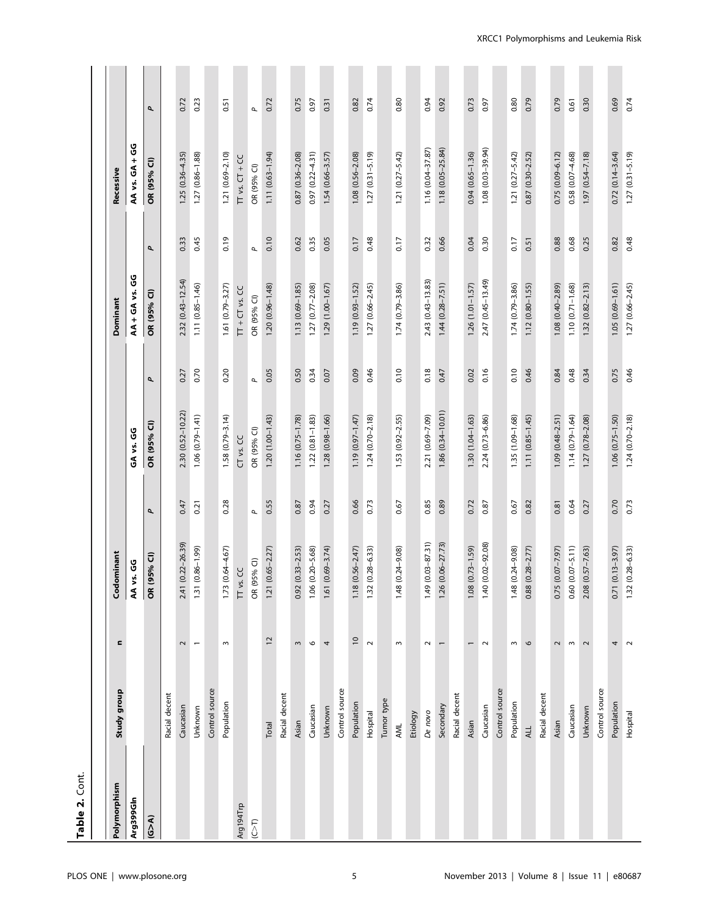| OR (95% CI)<br>ే<br>Recessive<br>OR (95%<br>AA vs.<br>0.19<br>0.10<br>0.45<br>0.35<br>0.05<br>0.48<br>0.32<br>0.66<br>0.30<br>0.68<br>0.25<br>0.48<br>0.62<br>0.17<br>0.17<br>0.04<br>0.17<br>0.51<br>0.88<br>0.82<br>0.33<br>σ<br>$\mathbf{p}$<br>ပ္ပိ<br>$2.43(0.43 - 13.83)$<br>$2.32(0.43 - 12.54)$<br>2.47 (0.45-13.49)<br>$1.44(0.28 - 7.51)$<br>1.74 (0.79-3.86)<br>$1.05(0.69 - 1.61)$<br>$1.11(0.85 - 1.46)$<br>$1.27(0.77 - 2.08)$<br>$1.27(0.66 - 2.45)$<br>$1.26(1.01 - 1.57)$<br>$1.10(0.71 - 1.68)$<br>$1.32(0.82 - 2.13)$<br>$1.27(0.66 - 2.45)$<br>$1.61(0.79 - 3.27)$<br>$1.20(0.96 - 1.48)$<br>$1.13(0.69 - 1.85)$<br>$1.29(1.00 - 1.67)$<br>1.19 (0.93-1.52)<br>1.74 (0.79-3.86)<br>$1.12(0.80 - 1.55)$<br>$1.08(0.40 - 2.89)$<br>$TT + CT$ vs. CC<br><b>AA + GA vs.</b><br>OR (95% CI)<br>OR (95% CI)<br>Dominant<br>0.70<br>0.05<br>0.46<br>0.46<br>0.46<br>0.20<br>0.09<br>0.10<br>0.18<br>0.16<br>0.48<br>0.34<br>0.50<br>0.34<br>0.07<br>0.10<br>0.47<br>0.02<br>0.84<br>0.75<br>0.27<br>σ<br>$\mathbf{p}$<br>1.86 (0.34-10.01)<br>2.30 (0.52-10.22)<br>$1.06(0.79 - 1.41)$<br>$1.22(0.81 - 1.83)$<br>2.21 (0.69-7.09)<br>1.35 (1.09-1.68)<br>$1.24(0.70-2.18)$<br>$1.58(0.79 - 3.14)$<br>$1.20(1.00-1.43)$<br>$1.16(0.75 - 1.78)$<br>$1.28(0.98 - 1.66)$<br>$1.24(0.70 - 2.18)$<br>$1.30(1.04 - 1.63)$<br>$1.11(0.85 - 1.45)$<br>$1.09(0.48 - 2.51)$<br>$1.14(0.79 - 1.64)$<br>$1.27(0.78 - 2.08)$<br>$1.06$ $(0.75 - 1.50)$<br>$1.19(0.97 - 1.47)$<br>$1.53(0.92 - 2.55)$<br>2.24 (0.73-6.86)<br>OR (95% CI)<br>OR (95% CI)<br><b>ვ</b><br>CT vs. CC<br>GA vs.<br>0.55<br>0.28<br>0.73<br>0.89<br>0.82<br>0.70<br>0.73<br>0.94<br>0.27<br>0.66<br>0.85<br>0.72<br>0.87<br>0.64<br>0.27<br>0.21<br>0.87<br>0.67<br>0.67<br>0.81<br>0.47<br>σ<br>$\mathbf{r}$<br>$1.49(0.03 - 87.31)$<br>$1.26(0.06 - 27.73)$<br>$(0.22 - 26.39)$<br>1.40 (0.02-92.08)<br>$(0.73 - 1.59)$<br>1.48 (0.24-9.08)<br>$0.60(0.07 - 5.11)$<br>$1.32(0.28 - 6.33)$<br>$1.21 (0.65 - 2.27)$<br>$1.06(0.20 - 5.68)$<br>$(0.28 - 6.33)$<br>$0.88$ $(0.28 - 2.77)$<br>$0.75(0.07 - 7.97)$<br>$2.08(0.57 - 7.63)$<br>$0.71(0.13 - 3.97)$<br>1.31 (0.86-1.99)<br>$1.73(0.64 - 4.67)$<br>$0.92(0.33 - 2.53)$<br>1.61 (0.69-3.74)<br>$(0.56 - 2.47)$<br>$(0.24 - 9.08)$<br>ominant<br>OR (95% CI)<br>OR (95% Cl)<br>AA vs. GG<br>TT vs. CC<br>Ğ<br>1.08<br>2.41<br><b>1.18</b><br>1.32<br>1.48<br>$\overline{0}$<br>$\overline{12}$<br>c<br>$\sim$<br>$\sim$<br>$\overline{ }$<br>$\,$ $\,$<br>3<br>6<br>4<br>$\sim$<br>$\sim$<br>$\sim$<br>$\sim$<br>$\circ$<br>$\,$ $\,$<br>$\sim$<br>4<br>$\sim$<br>$\overline{\phantom{0}}$<br>2<br>Control source<br>Control source<br>Control source<br>Control source<br>Study group<br>Racial decent<br>Racial decent<br>Racial decent<br>Racial decent<br>Tumor type<br>Population<br>Population<br>Population<br>Population<br>Secondary<br>Caucasian<br>Caucasian<br>Caucasian<br>Caucasian<br>Unknown<br>Unknown<br>Unknown<br>Hospital<br>De novo<br>Hospital<br>Etiology<br>Asian<br>Asian<br>Asian<br>Total<br>AML<br>ALL.<br>Polymorphism<br>Arg399GIn<br>Arg194Trp<br>(6 > A)<br>$(2-\tau)$ |  |  |  |  |                        |              |
|---------------------------------------------------------------------------------------------------------------------------------------------------------------------------------------------------------------------------------------------------------------------------------------------------------------------------------------------------------------------------------------------------------------------------------------------------------------------------------------------------------------------------------------------------------------------------------------------------------------------------------------------------------------------------------------------------------------------------------------------------------------------------------------------------------------------------------------------------------------------------------------------------------------------------------------------------------------------------------------------------------------------------------------------------------------------------------------------------------------------------------------------------------------------------------------------------------------------------------------------------------------------------------------------------------------------------------------------------------------------------------------------------------------------------------------------------------------------------------------------------------------------------------------------------------------------------------------------------------------------------------------------------------------------------------------------------------------------------------------------------------------------------------------------------------------------------------------------------------------------------------------------------------------------------------------------------------------------------------------------------------------------------------------------------------------------------------------------------------------------------------------------------------------------------------------------------------------------------------------------------------------------------------------------------------------------------------------------------------------------------------------------------------------------------------------------------------------------------------------------------------------------------------------------------------------------------------------------------------------------------------------------------------------------------------------------------------------------------------------------------------------------------------------------------------------------------------------------------------------------------------------------------------------------------------------------------------------------------------------------------------------------------------------------------------------------------------------------------------------------------------------|--|--|--|--|------------------------|--------------|
|                                                                                                                                                                                                                                                                                                                                                                                                                                                                                                                                                                                                                                                                                                                                                                                                                                                                                                                                                                                                                                                                                                                                                                                                                                                                                                                                                                                                                                                                                                                                                                                                                                                                                                                                                                                                                                                                                                                                                                                                                                                                                                                                                                                                                                                                                                                                                                                                                                                                                                                                                                                                                                                                                                                                                                                                                                                                                                                                                                                                                                                                                                                                       |  |  |  |  |                        |              |
|                                                                                                                                                                                                                                                                                                                                                                                                                                                                                                                                                                                                                                                                                                                                                                                                                                                                                                                                                                                                                                                                                                                                                                                                                                                                                                                                                                                                                                                                                                                                                                                                                                                                                                                                                                                                                                                                                                                                                                                                                                                                                                                                                                                                                                                                                                                                                                                                                                                                                                                                                                                                                                                                                                                                                                                                                                                                                                                                                                                                                                                                                                                                       |  |  |  |  | ပ္ပိ<br>$\ddot{}$      |              |
|                                                                                                                                                                                                                                                                                                                                                                                                                                                                                                                                                                                                                                                                                                                                                                                                                                                                                                                                                                                                                                                                                                                                                                                                                                                                                                                                                                                                                                                                                                                                                                                                                                                                                                                                                                                                                                                                                                                                                                                                                                                                                                                                                                                                                                                                                                                                                                                                                                                                                                                                                                                                                                                                                                                                                                                                                                                                                                                                                                                                                                                                                                                                       |  |  |  |  | $\widehat{\sigma}$     | σ            |
|                                                                                                                                                                                                                                                                                                                                                                                                                                                                                                                                                                                                                                                                                                                                                                                                                                                                                                                                                                                                                                                                                                                                                                                                                                                                                                                                                                                                                                                                                                                                                                                                                                                                                                                                                                                                                                                                                                                                                                                                                                                                                                                                                                                                                                                                                                                                                                                                                                                                                                                                                                                                                                                                                                                                                                                                                                                                                                                                                                                                                                                                                                                                       |  |  |  |  |                        |              |
|                                                                                                                                                                                                                                                                                                                                                                                                                                                                                                                                                                                                                                                                                                                                                                                                                                                                                                                                                                                                                                                                                                                                                                                                                                                                                                                                                                                                                                                                                                                                                                                                                                                                                                                                                                                                                                                                                                                                                                                                                                                                                                                                                                                                                                                                                                                                                                                                                                                                                                                                                                                                                                                                                                                                                                                                                                                                                                                                                                                                                                                                                                                                       |  |  |  |  | $1.25(0.36 - 4.35)$    | 0.72         |
|                                                                                                                                                                                                                                                                                                                                                                                                                                                                                                                                                                                                                                                                                                                                                                                                                                                                                                                                                                                                                                                                                                                                                                                                                                                                                                                                                                                                                                                                                                                                                                                                                                                                                                                                                                                                                                                                                                                                                                                                                                                                                                                                                                                                                                                                                                                                                                                                                                                                                                                                                                                                                                                                                                                                                                                                                                                                                                                                                                                                                                                                                                                                       |  |  |  |  | $1.27(0.86 - 1.88)$    | 0.23         |
|                                                                                                                                                                                                                                                                                                                                                                                                                                                                                                                                                                                                                                                                                                                                                                                                                                                                                                                                                                                                                                                                                                                                                                                                                                                                                                                                                                                                                                                                                                                                                                                                                                                                                                                                                                                                                                                                                                                                                                                                                                                                                                                                                                                                                                                                                                                                                                                                                                                                                                                                                                                                                                                                                                                                                                                                                                                                                                                                                                                                                                                                                                                                       |  |  |  |  |                        |              |
|                                                                                                                                                                                                                                                                                                                                                                                                                                                                                                                                                                                                                                                                                                                                                                                                                                                                                                                                                                                                                                                                                                                                                                                                                                                                                                                                                                                                                                                                                                                                                                                                                                                                                                                                                                                                                                                                                                                                                                                                                                                                                                                                                                                                                                                                                                                                                                                                                                                                                                                                                                                                                                                                                                                                                                                                                                                                                                                                                                                                                                                                                                                                       |  |  |  |  | $1.21(0.69 - 2.10)$    | 0.51         |
|                                                                                                                                                                                                                                                                                                                                                                                                                                                                                                                                                                                                                                                                                                                                                                                                                                                                                                                                                                                                                                                                                                                                                                                                                                                                                                                                                                                                                                                                                                                                                                                                                                                                                                                                                                                                                                                                                                                                                                                                                                                                                                                                                                                                                                                                                                                                                                                                                                                                                                                                                                                                                                                                                                                                                                                                                                                                                                                                                                                                                                                                                                                                       |  |  |  |  | $\Pi$ vs. $CT + CC$    |              |
|                                                                                                                                                                                                                                                                                                                                                                                                                                                                                                                                                                                                                                                                                                                                                                                                                                                                                                                                                                                                                                                                                                                                                                                                                                                                                                                                                                                                                                                                                                                                                                                                                                                                                                                                                                                                                                                                                                                                                                                                                                                                                                                                                                                                                                                                                                                                                                                                                                                                                                                                                                                                                                                                                                                                                                                                                                                                                                                                                                                                                                                                                                                                       |  |  |  |  |                        | $\mathbf{r}$ |
|                                                                                                                                                                                                                                                                                                                                                                                                                                                                                                                                                                                                                                                                                                                                                                                                                                                                                                                                                                                                                                                                                                                                                                                                                                                                                                                                                                                                                                                                                                                                                                                                                                                                                                                                                                                                                                                                                                                                                                                                                                                                                                                                                                                                                                                                                                                                                                                                                                                                                                                                                                                                                                                                                                                                                                                                                                                                                                                                                                                                                                                                                                                                       |  |  |  |  | $1.11(0.63 - 1.94)$    | 0.72         |
|                                                                                                                                                                                                                                                                                                                                                                                                                                                                                                                                                                                                                                                                                                                                                                                                                                                                                                                                                                                                                                                                                                                                                                                                                                                                                                                                                                                                                                                                                                                                                                                                                                                                                                                                                                                                                                                                                                                                                                                                                                                                                                                                                                                                                                                                                                                                                                                                                                                                                                                                                                                                                                                                                                                                                                                                                                                                                                                                                                                                                                                                                                                                       |  |  |  |  |                        |              |
|                                                                                                                                                                                                                                                                                                                                                                                                                                                                                                                                                                                                                                                                                                                                                                                                                                                                                                                                                                                                                                                                                                                                                                                                                                                                                                                                                                                                                                                                                                                                                                                                                                                                                                                                                                                                                                                                                                                                                                                                                                                                                                                                                                                                                                                                                                                                                                                                                                                                                                                                                                                                                                                                                                                                                                                                                                                                                                                                                                                                                                                                                                                                       |  |  |  |  | $0.87(0.36 - 2.08)$    | 0.75         |
|                                                                                                                                                                                                                                                                                                                                                                                                                                                                                                                                                                                                                                                                                                                                                                                                                                                                                                                                                                                                                                                                                                                                                                                                                                                                                                                                                                                                                                                                                                                                                                                                                                                                                                                                                                                                                                                                                                                                                                                                                                                                                                                                                                                                                                                                                                                                                                                                                                                                                                                                                                                                                                                                                                                                                                                                                                                                                                                                                                                                                                                                                                                                       |  |  |  |  | $0.97(0.22 - 4.31)$    | 0.97         |
|                                                                                                                                                                                                                                                                                                                                                                                                                                                                                                                                                                                                                                                                                                                                                                                                                                                                                                                                                                                                                                                                                                                                                                                                                                                                                                                                                                                                                                                                                                                                                                                                                                                                                                                                                                                                                                                                                                                                                                                                                                                                                                                                                                                                                                                                                                                                                                                                                                                                                                                                                                                                                                                                                                                                                                                                                                                                                                                                                                                                                                                                                                                                       |  |  |  |  | $1.54(0.66 - 3.57)$    | 0.31         |
|                                                                                                                                                                                                                                                                                                                                                                                                                                                                                                                                                                                                                                                                                                                                                                                                                                                                                                                                                                                                                                                                                                                                                                                                                                                                                                                                                                                                                                                                                                                                                                                                                                                                                                                                                                                                                                                                                                                                                                                                                                                                                                                                                                                                                                                                                                                                                                                                                                                                                                                                                                                                                                                                                                                                                                                                                                                                                                                                                                                                                                                                                                                                       |  |  |  |  |                        |              |
|                                                                                                                                                                                                                                                                                                                                                                                                                                                                                                                                                                                                                                                                                                                                                                                                                                                                                                                                                                                                                                                                                                                                                                                                                                                                                                                                                                                                                                                                                                                                                                                                                                                                                                                                                                                                                                                                                                                                                                                                                                                                                                                                                                                                                                                                                                                                                                                                                                                                                                                                                                                                                                                                                                                                                                                                                                                                                                                                                                                                                                                                                                                                       |  |  |  |  | $1.08(0.56 - 2.08)$    | 0.82         |
|                                                                                                                                                                                                                                                                                                                                                                                                                                                                                                                                                                                                                                                                                                                                                                                                                                                                                                                                                                                                                                                                                                                                                                                                                                                                                                                                                                                                                                                                                                                                                                                                                                                                                                                                                                                                                                                                                                                                                                                                                                                                                                                                                                                                                                                                                                                                                                                                                                                                                                                                                                                                                                                                                                                                                                                                                                                                                                                                                                                                                                                                                                                                       |  |  |  |  | $1.27(0.31 - 5.19)$    | 0.74         |
|                                                                                                                                                                                                                                                                                                                                                                                                                                                                                                                                                                                                                                                                                                                                                                                                                                                                                                                                                                                                                                                                                                                                                                                                                                                                                                                                                                                                                                                                                                                                                                                                                                                                                                                                                                                                                                                                                                                                                                                                                                                                                                                                                                                                                                                                                                                                                                                                                                                                                                                                                                                                                                                                                                                                                                                                                                                                                                                                                                                                                                                                                                                                       |  |  |  |  |                        |              |
|                                                                                                                                                                                                                                                                                                                                                                                                                                                                                                                                                                                                                                                                                                                                                                                                                                                                                                                                                                                                                                                                                                                                                                                                                                                                                                                                                                                                                                                                                                                                                                                                                                                                                                                                                                                                                                                                                                                                                                                                                                                                                                                                                                                                                                                                                                                                                                                                                                                                                                                                                                                                                                                                                                                                                                                                                                                                                                                                                                                                                                                                                                                                       |  |  |  |  | $1.21 (0.27 - 5.42)$   | 0.80         |
|                                                                                                                                                                                                                                                                                                                                                                                                                                                                                                                                                                                                                                                                                                                                                                                                                                                                                                                                                                                                                                                                                                                                                                                                                                                                                                                                                                                                                                                                                                                                                                                                                                                                                                                                                                                                                                                                                                                                                                                                                                                                                                                                                                                                                                                                                                                                                                                                                                                                                                                                                                                                                                                                                                                                                                                                                                                                                                                                                                                                                                                                                                                                       |  |  |  |  |                        |              |
|                                                                                                                                                                                                                                                                                                                                                                                                                                                                                                                                                                                                                                                                                                                                                                                                                                                                                                                                                                                                                                                                                                                                                                                                                                                                                                                                                                                                                                                                                                                                                                                                                                                                                                                                                                                                                                                                                                                                                                                                                                                                                                                                                                                                                                                                                                                                                                                                                                                                                                                                                                                                                                                                                                                                                                                                                                                                                                                                                                                                                                                                                                                                       |  |  |  |  | $1.16(0.04 - 37.87)$   | 0.94         |
|                                                                                                                                                                                                                                                                                                                                                                                                                                                                                                                                                                                                                                                                                                                                                                                                                                                                                                                                                                                                                                                                                                                                                                                                                                                                                                                                                                                                                                                                                                                                                                                                                                                                                                                                                                                                                                                                                                                                                                                                                                                                                                                                                                                                                                                                                                                                                                                                                                                                                                                                                                                                                                                                                                                                                                                                                                                                                                                                                                                                                                                                                                                                       |  |  |  |  | 1.18 (0.05-25.84)      | 0.92         |
|                                                                                                                                                                                                                                                                                                                                                                                                                                                                                                                                                                                                                                                                                                                                                                                                                                                                                                                                                                                                                                                                                                                                                                                                                                                                                                                                                                                                                                                                                                                                                                                                                                                                                                                                                                                                                                                                                                                                                                                                                                                                                                                                                                                                                                                                                                                                                                                                                                                                                                                                                                                                                                                                                                                                                                                                                                                                                                                                                                                                                                                                                                                                       |  |  |  |  |                        |              |
|                                                                                                                                                                                                                                                                                                                                                                                                                                                                                                                                                                                                                                                                                                                                                                                                                                                                                                                                                                                                                                                                                                                                                                                                                                                                                                                                                                                                                                                                                                                                                                                                                                                                                                                                                                                                                                                                                                                                                                                                                                                                                                                                                                                                                                                                                                                                                                                                                                                                                                                                                                                                                                                                                                                                                                                                                                                                                                                                                                                                                                                                                                                                       |  |  |  |  | $0.94(0.65 - 1.36)$    | 0.73         |
|                                                                                                                                                                                                                                                                                                                                                                                                                                                                                                                                                                                                                                                                                                                                                                                                                                                                                                                                                                                                                                                                                                                                                                                                                                                                                                                                                                                                                                                                                                                                                                                                                                                                                                                                                                                                                                                                                                                                                                                                                                                                                                                                                                                                                                                                                                                                                                                                                                                                                                                                                                                                                                                                                                                                                                                                                                                                                                                                                                                                                                                                                                                                       |  |  |  |  | 1.08 (0.03-39.94)      | 0.97         |
|                                                                                                                                                                                                                                                                                                                                                                                                                                                                                                                                                                                                                                                                                                                                                                                                                                                                                                                                                                                                                                                                                                                                                                                                                                                                                                                                                                                                                                                                                                                                                                                                                                                                                                                                                                                                                                                                                                                                                                                                                                                                                                                                                                                                                                                                                                                                                                                                                                                                                                                                                                                                                                                                                                                                                                                                                                                                                                                                                                                                                                                                                                                                       |  |  |  |  |                        |              |
|                                                                                                                                                                                                                                                                                                                                                                                                                                                                                                                                                                                                                                                                                                                                                                                                                                                                                                                                                                                                                                                                                                                                                                                                                                                                                                                                                                                                                                                                                                                                                                                                                                                                                                                                                                                                                                                                                                                                                                                                                                                                                                                                                                                                                                                                                                                                                                                                                                                                                                                                                                                                                                                                                                                                                                                                                                                                                                                                                                                                                                                                                                                                       |  |  |  |  | $1.21 (0.27 - 5.42)$   | 0.80         |
|                                                                                                                                                                                                                                                                                                                                                                                                                                                                                                                                                                                                                                                                                                                                                                                                                                                                                                                                                                                                                                                                                                                                                                                                                                                                                                                                                                                                                                                                                                                                                                                                                                                                                                                                                                                                                                                                                                                                                                                                                                                                                                                                                                                                                                                                                                                                                                                                                                                                                                                                                                                                                                                                                                                                                                                                                                                                                                                                                                                                                                                                                                                                       |  |  |  |  | $0.87$ $(0.30 - 2.52)$ | 0.79         |
|                                                                                                                                                                                                                                                                                                                                                                                                                                                                                                                                                                                                                                                                                                                                                                                                                                                                                                                                                                                                                                                                                                                                                                                                                                                                                                                                                                                                                                                                                                                                                                                                                                                                                                                                                                                                                                                                                                                                                                                                                                                                                                                                                                                                                                                                                                                                                                                                                                                                                                                                                                                                                                                                                                                                                                                                                                                                                                                                                                                                                                                                                                                                       |  |  |  |  |                        |              |
|                                                                                                                                                                                                                                                                                                                                                                                                                                                                                                                                                                                                                                                                                                                                                                                                                                                                                                                                                                                                                                                                                                                                                                                                                                                                                                                                                                                                                                                                                                                                                                                                                                                                                                                                                                                                                                                                                                                                                                                                                                                                                                                                                                                                                                                                                                                                                                                                                                                                                                                                                                                                                                                                                                                                                                                                                                                                                                                                                                                                                                                                                                                                       |  |  |  |  | $0.75(0.09 - 6.12)$    | 0.79         |
|                                                                                                                                                                                                                                                                                                                                                                                                                                                                                                                                                                                                                                                                                                                                                                                                                                                                                                                                                                                                                                                                                                                                                                                                                                                                                                                                                                                                                                                                                                                                                                                                                                                                                                                                                                                                                                                                                                                                                                                                                                                                                                                                                                                                                                                                                                                                                                                                                                                                                                                                                                                                                                                                                                                                                                                                                                                                                                                                                                                                                                                                                                                                       |  |  |  |  | $0.58(0.07 - 4.68)$    | 0.61         |
|                                                                                                                                                                                                                                                                                                                                                                                                                                                                                                                                                                                                                                                                                                                                                                                                                                                                                                                                                                                                                                                                                                                                                                                                                                                                                                                                                                                                                                                                                                                                                                                                                                                                                                                                                                                                                                                                                                                                                                                                                                                                                                                                                                                                                                                                                                                                                                                                                                                                                                                                                                                                                                                                                                                                                                                                                                                                                                                                                                                                                                                                                                                                       |  |  |  |  | $1.97(0.54 - 7.18)$    | 0.30         |
|                                                                                                                                                                                                                                                                                                                                                                                                                                                                                                                                                                                                                                                                                                                                                                                                                                                                                                                                                                                                                                                                                                                                                                                                                                                                                                                                                                                                                                                                                                                                                                                                                                                                                                                                                                                                                                                                                                                                                                                                                                                                                                                                                                                                                                                                                                                                                                                                                                                                                                                                                                                                                                                                                                                                                                                                                                                                                                                                                                                                                                                                                                                                       |  |  |  |  |                        |              |
|                                                                                                                                                                                                                                                                                                                                                                                                                                                                                                                                                                                                                                                                                                                                                                                                                                                                                                                                                                                                                                                                                                                                                                                                                                                                                                                                                                                                                                                                                                                                                                                                                                                                                                                                                                                                                                                                                                                                                                                                                                                                                                                                                                                                                                                                                                                                                                                                                                                                                                                                                                                                                                                                                                                                                                                                                                                                                                                                                                                                                                                                                                                                       |  |  |  |  | $0.72(0.14 - 3.64)$    | 0.69         |
|                                                                                                                                                                                                                                                                                                                                                                                                                                                                                                                                                                                                                                                                                                                                                                                                                                                                                                                                                                                                                                                                                                                                                                                                                                                                                                                                                                                                                                                                                                                                                                                                                                                                                                                                                                                                                                                                                                                                                                                                                                                                                                                                                                                                                                                                                                                                                                                                                                                                                                                                                                                                                                                                                                                                                                                                                                                                                                                                                                                                                                                                                                                                       |  |  |  |  | $1.27(0.31 - 5.19)$    | 0.74         |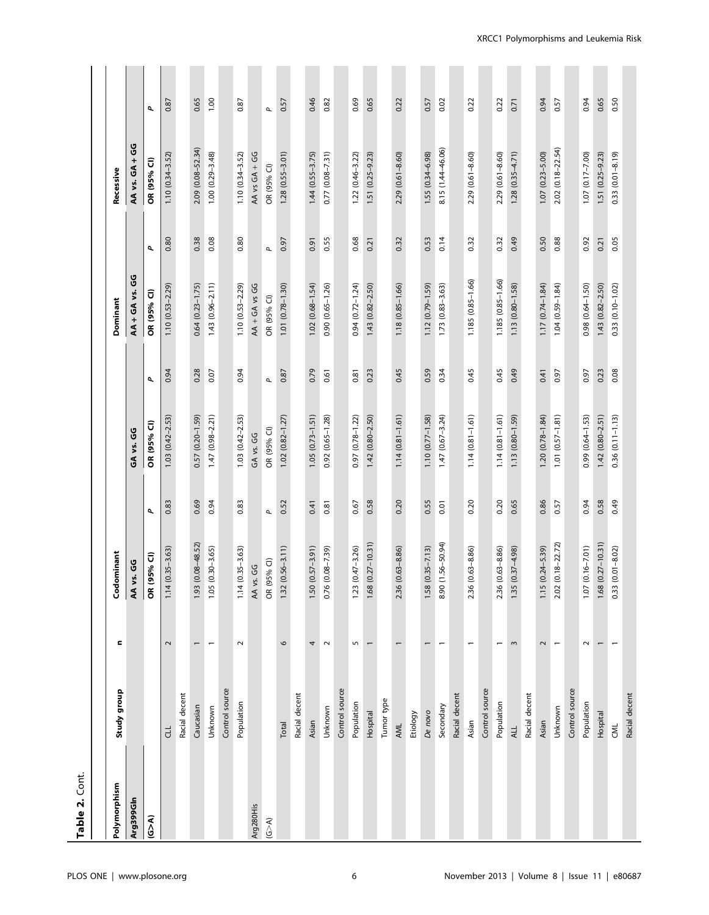| Table 2. Cont.         |                |                          |                         |              |                        |              |                              |              |                            |              |
|------------------------|----------------|--------------------------|-------------------------|--------------|------------------------|--------------|------------------------------|--------------|----------------------------|--------------|
| Polymorphism           | Study group    | Ξ                        | Codominant              |              |                        |              | Dominant                     |              | Recessive                  |              |
| Arg399GIn              |                |                          | AA vs. GG               |              | ပ္ပိ<br>۶.<br>G        |              | ق<br>ق<br><b>AA + GA vs.</b> |              | ق<br>ق<br>$6A +$<br>AA vs. |              |
| $\widetilde{\epsilon}$ |                |                          | OR (95% CI)             | σ            | OR (95% CI)            | σ            | OR (95% CI)                  | σ            | OR (95% CI)                | σ            |
|                        | $\exists$      | $\sim$                   | $1.14(0.35 - 3.63)$     | 0.83         | $1.03(0.42 - 2.53)$    | 0.94         | $1.10(0.53 - 2.29)$          | 0.80         | $1.10(0.34 - 3.52)$        | 0.87         |
|                        | Racial decent  |                          |                         |              |                        |              |                              |              |                            |              |
|                        | Caucasian      | $\overline{ }$           | 1.93 (0.08-48.52)       | 0.69         | 0.57 (0.20-1.59)       | 0.28         | $0.64$ $(0.23 - 1.75)$       | 0.38         | 2.09 (0.08-52.34)          | 0.65         |
|                        | Unknown        | $\overline{\phantom{0}}$ | $1.05(0.30 - 3.65)$     | 0.94         | $1.47(0.98 - 2.21)$    | 0.07         | $1.43(0.96 - 2.11)$          | 0.08         | $1.00(0.29 - 3.48)$        | 1.00         |
|                        | Control source |                          |                         |              |                        |              |                              |              |                            |              |
|                        | Population     | $\sim$                   | $1.14(0.35 - 3.63)$     | 0.83         | $1.03(0.42 - 2.53)$    | 0.94         | $1.10(0.53 - 2.29)$          | 0.80         | $1.10(0.34 - 3.52)$        | 0.87         |
| Arg280His              |                |                          | AA vs. GG               |              | GA vs. GG              |              | AA + GA vs GG                |              | AA vs GA + GG              |              |
| $(6 - A)$              |                |                          | OR (95% CI)             | $\mathbf{p}$ | OR (95% CI)            | $\mathbf{p}$ | OR (95% CI)                  | $\mathbf{a}$ | OR (95% CI)                | $\mathbf{p}$ |
|                        | Total          | $\circ$                  | $1.32(0.56 - 3.11)$     | 0.52         | $1.02(0.82 - 1.27)$    | 0.87         | $1.01 (0.78 - 1.30)$         | 0.97         | $1.28(0.55 - 3.01)$        | 0.57         |
|                        | Racial decent  |                          |                         |              |                        |              |                              |              |                            |              |
|                        | Asian          | 4                        | $1.50(0.57 - 3.91)$     | 0.41         | $1.05(0.73 - 1.51)$    | 0.79         | $1.02(0.68 - 1.54)$          | 0.91         | $1.44$ $(0.55 - 3.75)$     | 0.46         |
|                        | Unknown        | $\sim$                   | 0.76 (0.08-7.39)        | 0.81         | $0.92(0.65 - 1.28)$    | 0.61         | $0.90(0.65 - 1.26)$          | 0.55         | $0.77$ $(0.08 - 7.31)$     | 0.82         |
|                        | Control source |                          |                         |              |                        |              |                              |              |                            |              |
|                        | Population     | S                        | $1.23(0.47 - 3.26)$     | 0.67         | $0.97(0.78 - 1.22)$    | 0.81         | $0.94(0.72 - 1.24)$          | 0.68         | $1.22(0.46 - 3.22)$        | 0.69         |
|                        | Hospital       | $\overline{ }$           | 1.68 (0.27-10.31)       | 0.58         | $1.42(0.80 - 2.50)$    | 0.23         | $1.43(0.82 - 2.50)$          | 0.21         | 1.51 (0.25-9.23)           | 0.65         |
|                        | Tumor type     |                          |                         |              |                        |              |                              |              |                            |              |
|                        | AML            |                          | 2.36 (0.63-8.86)        | 0.20         | $1.14(0.81 - 1.61)$    | 0.45         | $1.18(0.85 - 1.66)$          | 0.32         | $2.29(0.61 - 8.60)$        | 0.22         |
|                        | Etiology       |                          |                         |              |                        |              |                              |              |                            |              |
|                        | De novo        | $\overline{\phantom{0}}$ | $1.58(0.35 - 7.13)$     | 0.55         | $1.10(0.77 - 1.58)$    | 0.59         | $1.12(0.79 - 1.59)$          | 0.53         | $1.55(0.34 - 6.98)$        | 0.57         |
|                        | Secondary      | $\overline{\phantom{0}}$ | 8.90 (1.56-50.94)       | 0.01         | $1.47(0.67 - 3.24)$    | 0.34         | $1.73(0.83 - 3.63)$          | 0.14         | 8.15 (1.44-46.06)          | 0.02         |
|                        | Racial decent  |                          |                         |              |                        |              |                              |              |                            |              |
|                        | Asian          | $\overline{\phantom{0}}$ | $(0.63 - 8.86)$<br>2.36 | 0.20         | $1.14(0.81 - 1.61)$    | 0.45         | 1.185 (0.85-1.66)            | 0.32         | $2.29(0.61 - 8.60)$        | 0.22         |
|                        | Control source |                          |                         |              |                        |              |                              |              |                            |              |
|                        | Population     | $\overline{\phantom{0}}$ | 2.36 (0.63-8.86)        | 0.20         | $1.14(0.81 - 1.61)$    | 0.45         | 1.185 (0.85-1.66)            | 0.32         | $2.29(0.61 - 8.60)$        | 0.22         |
|                        | ALL            | $\sim$                   | $1.35(0.37 - 4.98)$     | 0.65         | $1.13(0.80 - 1.59)$    | 0.49         | $1.13(0.80 - 1.58)$          | 0.49         | $1.28(0.35 - 4.71)$        | 0.71         |
|                        | Racial decent  |                          |                         |              |                        |              |                              |              |                            |              |
|                        | Asian          | 2                        | $(0.24 - 5.39)$<br>1.15 | 0.86         | $1.20(0.78-1.84)$      | 0.41         | $1.17(0.74 - 1.84)$          | 0.50         | $1.07(0.23 - 5.00)$        | 0.94         |
|                        | Unknown        | $\overline{ }$           | 2.02 (0.18-22.72)       | 0.57         | $1.01 (0.57 - 1.81)$   | 0.97         | $1.04(0.59 - 1.84)$          | 0.88         | 2.02 (0.18-22.54)          | 0.57         |
|                        | Control source |                          |                         |              |                        |              |                              |              |                            |              |
|                        | Population     | $\sim$                   | $(0.16 - 7.01)$<br>1.07 | 0.94         | $0.99$ $(0.64 - 1.53)$ | 0.97         | $0.98$ $(0.64 - 1.50)$       | 0.92         | $1.07$ $(0.17 - 7.00)$     | 0.94         |
|                        | Hospital       | $\overline{\phantom{0}}$ | $1.68$ $(0.27 - 10.31)$ | 0.58         | $1.42(0.80 - 2.51)$    | 0.23         | $1.43(0.82 - 2.50)$          | 0.21         | 1.51 (0.25-9.23)           | 0.65         |
|                        | CML            | $\overline{ }$           | $0.33$ $(0.01 - 8.02)$  | 0.49         | $0.36(0.11 - 1.13)$    | 0.08         | $0.33$ $(0.10 - 1.02)$       | 0.05         | $0.33$ $(0.01 - 8.19)$     | 0.50         |
|                        | Racial decent  |                          |                         |              |                        |              |                              |              |                            |              |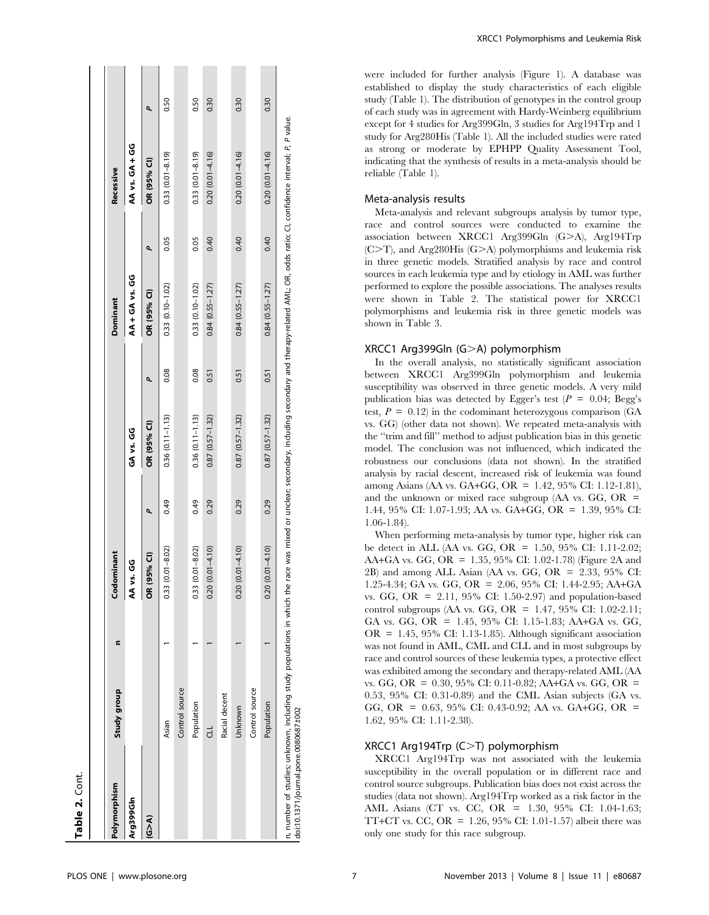| $0.84(0.55 - 1.27)$<br>$0.33(0.10 - 1.02)$<br>$0.33$ $(0.10 - 1.02)$<br>$0.84(0.55 - 1.27)$<br>OR (95% CI)<br>Dominant<br>0.08<br>0.08<br>0.51<br>0.51<br>٩<br>$0.87(0.57 - 1.32)$<br>$0.36(0.11 - 1.13)$<br>$0.36$ $(0.11 - 1.13)$<br>$0.87(0.57 - 1.32)$<br>OR (95% CI)<br>GA vs. GG<br>0.49<br>0.49<br>0.29<br>0.29<br>٩<br>$(0.01 - 4.10)$<br>$(0.01 - 4.10)$<br>$(0.01 - 8.02)$<br>$(0.01 - 8.02)$<br>Codominant<br>95% CI)<br><b>SP 95</b><br>0.33(<br>0.20<br>0.20<br>0.33<br>ś<br><b>OR</b><br>c<br>Control source<br>Study group<br>Racial decent<br>Population<br>Unknown<br>Asian<br>F<br>Polymorphism<br>Arg399GIn<br>ৰ্∆ত |                                       |  |  |  |                |      |                                                                                                                                                                                                                 |      |
|----------------------------------------------------------------------------------------------------------------------------------------------------------------------------------------------------------------------------------------------------------------------------------------------------------------------------------------------------------------------------------------------------------------------------------------------------------------------------------------------------------------------------------------------------------------------------------------------------------------------------------------|---------------------------------------|--|--|--|----------------|------|-----------------------------------------------------------------------------------------------------------------------------------------------------------------------------------------------------------------|------|
|                                                                                                                                                                                                                                                                                                                                                                                                                                                                                                                                                                                                                                        |                                       |  |  |  |                |      | Recessive                                                                                                                                                                                                       |      |
|                                                                                                                                                                                                                                                                                                                                                                                                                                                                                                                                                                                                                                        |                                       |  |  |  | AA + GA vs. GG |      | AA vs. GA + GG                                                                                                                                                                                                  |      |
|                                                                                                                                                                                                                                                                                                                                                                                                                                                                                                                                                                                                                                        |                                       |  |  |  |                | ٩    | OR (95% CI)                                                                                                                                                                                                     | م    |
|                                                                                                                                                                                                                                                                                                                                                                                                                                                                                                                                                                                                                                        |                                       |  |  |  |                | 0.05 | $0.33(0.01 - 8.19)$                                                                                                                                                                                             | 0.50 |
|                                                                                                                                                                                                                                                                                                                                                                                                                                                                                                                                                                                                                                        |                                       |  |  |  |                |      |                                                                                                                                                                                                                 |      |
|                                                                                                                                                                                                                                                                                                                                                                                                                                                                                                                                                                                                                                        |                                       |  |  |  |                | 0.05 | $0.33$ $(0.01 - 8.19)$                                                                                                                                                                                          | 0.50 |
|                                                                                                                                                                                                                                                                                                                                                                                                                                                                                                                                                                                                                                        |                                       |  |  |  |                | 0.40 | $0.20(0.01 - 4.16)$                                                                                                                                                                                             | 0.30 |
|                                                                                                                                                                                                                                                                                                                                                                                                                                                                                                                                                                                                                                        |                                       |  |  |  |                |      |                                                                                                                                                                                                                 |      |
|                                                                                                                                                                                                                                                                                                                                                                                                                                                                                                                                                                                                                                        |                                       |  |  |  |                | 0.40 | $0.20$ $(0.01 - 4.16)$                                                                                                                                                                                          | 0.30 |
| Control source                                                                                                                                                                                                                                                                                                                                                                                                                                                                                                                                                                                                                         |                                       |  |  |  |                |      |                                                                                                                                                                                                                 |      |
| $0.84$ $(0.55 - 1.27)$<br>0.51<br>$0.87(0.57 - 1.32)$<br>0.29<br>$(0.01 - 4.10)$<br>0.20(<br>Population                                                                                                                                                                                                                                                                                                                                                                                                                                                                                                                                |                                       |  |  |  |                | 0.40 | $0.20(0.01 - 4.16)$                                                                                                                                                                                             | 0.30 |
|                                                                                                                                                                                                                                                                                                                                                                                                                                                                                                                                                                                                                                        | doi:10.1371/journal.pone.0080687.t002 |  |  |  |                |      | n, number of studies; unknown, including study populations in which the race was mixed or unclear; secondary, including secondary and therapy-related AML; OR, odds ratio; CI, confidence interval; P, P value. |      |

XRCC1 Polymorphisms and Leukemia Risk

were included for further analysis (Figure 1). A database was established to display the study characteristics of each eligible study (Table 1). The distribution of genotypes in the control group of each study was in agreement with Hardy-Weinberg equilibrium except for 4 studies for Arg399Gln, 3 studies for Arg194Trp and 1 study for Arg280His (Table 1). All the included studies were rated as strong or moderate by EPHPP Quality Assessment Tool, indicating that the synthesis of results in a meta-analysis should be reliable (Table 1).

#### Meta-analysis results

Meta-analysis and relevant subgroups analysis by tumor type, race and control sources were conducted to examine the association between XRCC1 Arg399Gln (G>A), Arg194Trp  $(C>T)$ , and Arg280His  $(G>A)$  polymorphisms and leukemia risk in three genetic models. Stratified analysis by race and control sources in each leukemia type and by etiology in AML was further performed to explore the possible associations. The analyses results were shown in Table 2. The statistical power for XRCC1 polymorphisms and leukemia risk in three genetic models was shown in Table 3.

#### $XRCC1$  Arg399Gln  $(G>A)$  polymorphism

In the overall analysis, no statistically significant association between XRCC1 Arg399Gln polymorphism and leukemia susceptibility was observed in three genetic models. A very mild publication bias was detected by Egger's test  $(P = 0.04; \text{Bege's})$ test,  $P = 0.12$ ) in the codominant heterozygous comparison (GA vs. GG) (other data not shown). We repeated meta-analysis with the ''trim and fill'' method to adjust publication bias in this genetic model. The conclusion was not influenced, which indicated the robustness our conclusions (data not shown). In the stratified analysis by racial descent, increased risk of leukemia was found among Asians (AA vs. GA+GG, OR = 1.42, 95% CI: 1.12-1.81), and the unknown or mixed race subgroup (AA vs. GG, OR  $=$ 1.44, 95% CI: 1.07-1.93; AA vs. GA+GG, OR = 1.39, 95% CI: 1.06-1.84).

When performing meta-analysis by tumor type, higher risk can be detect in ALL (AA vs. GG, OR = 1.50, 95% CI: 1.11-2.02; AA+GA vs. GG, OR = 1.35, 95% CI: 1.02-1.78) (Figure 2A and 2B) and among ALL Asian (AA vs. GG, OR = 2.33, 95% CI: 1.25-4.34; GA vs. GG, OR = 2.06, 95% CI: 1.44-2.95; AA+GA vs. GG, OR = 2.11, 95% CI: 1.50-2.97) and population-based control subgroups (AA vs. GG, OR = 1.47, 95% CI: 1.02-2.11; GA vs. GG, OR = 1.45, 95% CI: 1.15-1.83; AA+GA vs. GG,  $OR = 1.45, 95\% \text{ CI: } 1.13-1.85$ . Although significant association was not found in AML, CML and CLL and in most subgroups by race and control sources of these leukemia types, a protective effect was exhibited among the secondary and therapy-related AML (AA vs. GG, OR = 0.30, 95% CI: 0.11-0.82; AA+GA vs. GG, OR = 0.53, 95% CI: 0.31-0.89) and the CML Asian subjects (GA vs. GG, OR =  $0.63$ , 95% CI: 0.43-0.92; AA vs. GA+GG, OR = 1.62, 95% CI: 1.11-2.38).

#### XRCC1 Arg194Trp  $(C>T)$  polymorphism

XRCC1 Arg194Trp was not associated with the leukemia susceptibility in the overall population or in different race and control source subgroups. Publication bias does not exist across the studies (data not shown). Arg194Trp worked as a risk factor in the AML Asians (CT vs. CC, OR = 1.30, 95% CI: 1.04-1.63; TT+CT vs. CC, OR =  $1.26$ , 95% CI: 1.01-1.57) albeit there was only one study for this race subgroup.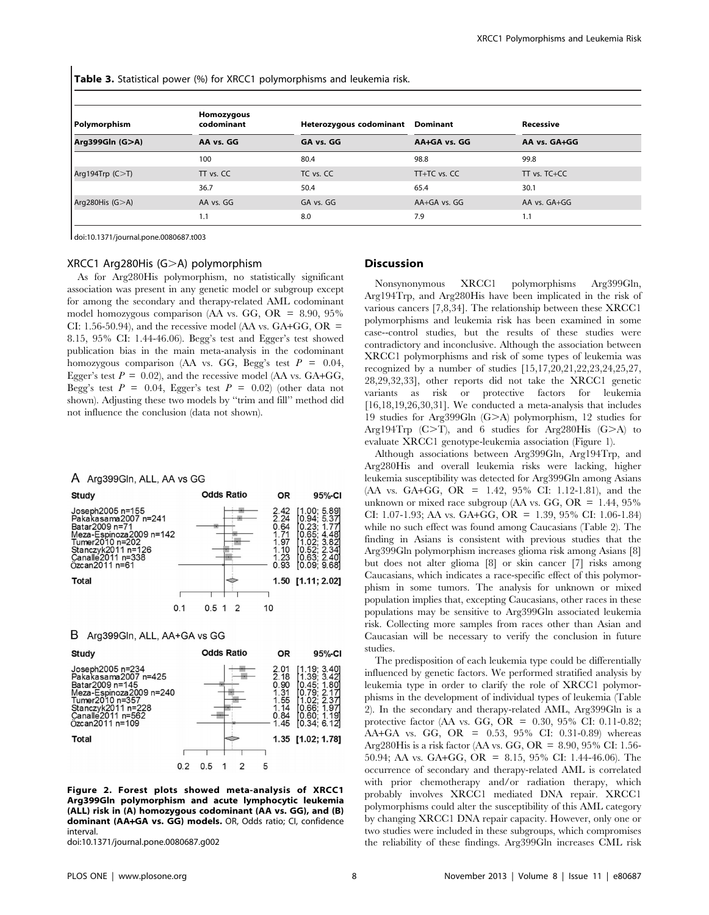Table 3. Statistical power (%) for XRCC1 polymorphisms and leukemia risk.

| Polymorphism        | Homozygous<br>codominant | Heterozygous codominant | <b>Dominant</b> | Recessive        |
|---------------------|--------------------------|-------------------------|-----------------|------------------|
| Arg399Gln (G>A)     | AA vs. GG                | GA vs. GG               | AA-GA vs. GG    | AA vs. GA+GG     |
|                     | 100                      | 80.4                    | 98.8            | 99.8             |
| Arg194Trp $(C > T)$ | TT vs. CC                | TC vs. CC               | TT+TC vs. CC    | $TT$ vs. $TC+CC$ |
|                     | 36.7                     | 50.4                    | 65.4            | 30.1             |
| Arg280His $(G>A)$   | AA vs. GG                | GA vs. GG               | AA+GA vs. GG    | AA vs. GA+GG     |
|                     | 1.1                      | 8.0                     | 7.9             | 1.1              |

doi:10.1371/journal.pone.0080687.t003

#### XRCC1 Arg280His  $(G>A)$  polymorphism

As for Arg280His polymorphism, no statistically significant association was present in any genetic model or subgroup except for among the secondary and therapy-related AML codominant model homozygous comparison (AA vs. GG, OR =  $8.90, 95\%$ ) CI: 1.56-50.94), and the recessive model (AA vs.  $GA+GG$ ,  $OR =$ 8.15, 95% CI: 1.44-46.06). Begg's test and Egger's test showed publication bias in the main meta-analysis in the codominant homozygous comparison (AA vs. GG, Begg's test  $P = 0.04$ , Egger's test  $P = 0.02$ ), and the recessive model (AA vs. GA+GG, Begg's test  $P = 0.04$ , Egger's test  $P = 0.02$ ) (other data not shown). Adjusting these two models by ''trim and fill'' method did not influence the conclusion (data not shown).

#### A Arg399Gln, ALL, AA vs GG

| Study                                                                                                                                                                  | <b>Odds Ratio</b> | <b>OR</b>                                                    | 95%-CI                                                                                                         |
|------------------------------------------------------------------------------------------------------------------------------------------------------------------------|-------------------|--------------------------------------------------------------|----------------------------------------------------------------------------------------------------------------|
| Joseph2005 n=155<br>Pakakasama2007 n=241<br>Batar2009 n=71<br>Meza-Espinoza2009 n=142<br>Tumer2010 n=202<br>Stanczyk2011 n=126<br>Canalle 2011 n=338<br>Özcan2011 n=61 |                   | 2.42<br>2.24<br>0.64<br>1.71<br>1.97<br>1.10<br>1.23<br>0.93 | [1.00; 5.89]<br>0.94; 5.37<br>0.23:<br>1.77<br>0.65; 4.48<br>.02:3.82<br>0.52:2.34<br>0.63; 2.40<br>0.09;9.681 |
| Total                                                                                                                                                                  |                   |                                                              | 1.50 [1.11; 2.02]                                                                                              |
| 0.1                                                                                                                                                                    | 0.5 1             | 10                                                           |                                                                                                                |

#### B Arg399Gln, ALL, AA+GA vs GG



Figure 2. Forest plots showed meta-analysis of XRCC1 Arg399Gln polymorphism and acute lymphocytic leukemia (ALL) risk in (A) homozygous codominant (AA vs. GG), and (B) dominant (AA+GA vs. GG) models. OR, Odds ratio; CI, confidence interval.

doi:10.1371/journal.pone.0080687.g002

#### Discussion

Nonsynonymous XRCC1 polymorphisms Arg399Gln, Arg194Trp, and Arg280His have been implicated in the risk of various cancers [7,8,34]. The relationship between these XRCC1 polymorphisms and leukemia risk has been examined in some case--control studies, but the results of these studies were contradictory and inconclusive. Although the association between XRCC1 polymorphisms and risk of some types of leukemia was recognized by a number of studies [15,17,20,21,22,23,24,25,27, 28,29,32,33], other reports did not take the XRCC1 genetic variants as risk or protective factors for leukemia [16,18,19,26,30,31]. We conducted a meta-analysis that includes 19 studies for Arg399Gln (G>A) polymorphism, 12 studies for Arg194Trp  $(C>T)$ , and 6 studies for Arg280His  $(G>A)$  to evaluate XRCC1 genotype-leukemia association (Figure 1).

Although associations between Arg399Gln, Arg194Trp, and Arg280His and overall leukemia risks were lacking, higher leukemia susceptibility was detected for Arg399Gln among Asians (AA vs. GA+GG, OR = 1.42, 95% CI: 1.12-1.81), and the unknown or mixed race subgroup (AA vs. GG, OR =  $1.44$ , 95% CI: 1.07-1.93; AA vs. GA+GG, OR = 1.39, 95% CI: 1.06-1.84) while no such effect was found among Caucasians (Table 2). The finding in Asians is consistent with previous studies that the Arg399Gln polymorphism increases glioma risk among Asians [8] but does not alter glioma [8] or skin cancer [7] risks among Caucasians, which indicates a race-specific effect of this polymorphism in some tumors. The analysis for unknown or mixed population implies that, excepting Caucasians, other races in these populations may be sensitive to Arg399Gln associated leukemia risk. Collecting more samples from races other than Asian and Caucasian will be necessary to verify the conclusion in future studies.

The predisposition of each leukemia type could be differentially influenced by genetic factors. We performed stratified analysis by leukemia type in order to clarify the role of XRCC1 polymorphisms in the development of individual types of leukemia (Table 2). In the secondary and therapy-related AML, Arg399Gln is a protective factor (AA vs. GG, OR = 0.30, 95% CI: 0.11-0.82; AA+GA vs. GG, OR =  $0.53$ , 95% CI: 0.31-0.89) whereas Arg280His is a risk factor (AA vs. GG, OR = 8.90, 95% CI: 1.56-50.94; AA vs. GA+GG, OR = 8.15, 95% CI: 1.44-46.06). The occurrence of secondary and therapy-related AML is correlated with prior chemotherapy and/or radiation therapy, which probably involves XRCC1 mediated DNA repair. XRCC1 polymorphisms could alter the susceptibility of this AML category by changing XRCC1 DNA repair capacity. However, only one or two studies were included in these subgroups, which compromises the reliability of these findings. Arg399Gln increases CML risk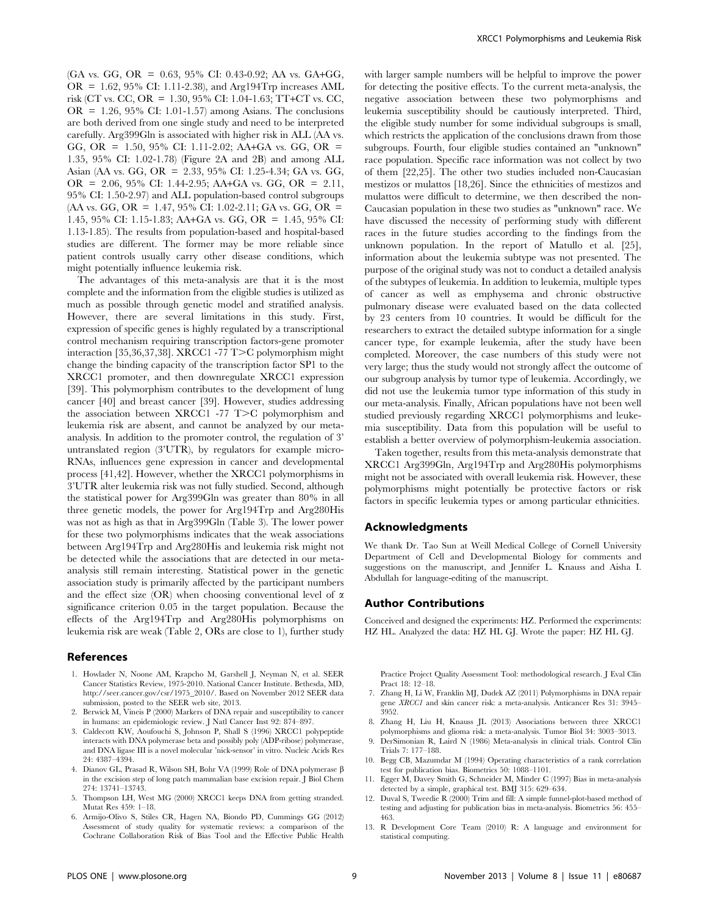(GA vs. GG, OR = 0.63, 95% CI: 0.43-0.92; AA vs. GA+GG, OR = 1.62, 95% CI: 1.11-2.38), and Arg194Trp increases AML risk (CT vs. CC, OR = 1.30, 95% CI: 1.04-1.63; TT+CT vs. CC, OR =  $1.26$ ,  $95\%$  CI:  $1.01-1.57$  among Asians. The conclusions are both derived from one single study and need to be interpreted carefully. Arg399Gln is associated with higher risk in ALL (AA vs. GG, OR = 1.50, 95% CI: 1.11-2.02; AA+GA vs. GG, OR = 1.35, 95% CI: 1.02-1.78) (Figure 2A and 2B) and among ALL Asian (AA vs. GG, OR = 2.33, 95% CI: 1.25-4.34; GA vs. GG, OR = 2.06, 95% CI: 1.44-2.95; AA+GA vs. GG, OR = 2.11, 95% CI: 1.50-2.97) and ALL population-based control subgroups  $(AA vs. GG, OR = 1.47, 95\% CI: 1.02-2.11; GA vs. GG, OR =$ 1.45, 95% CI: 1.15-1.83; AA+GA vs. GG, OR = 1.45, 95% CI: 1.13-1.85). The results from population-based and hospital-based studies are different. The former may be more reliable since patient controls usually carry other disease conditions, which might potentially influence leukemia risk.

The advantages of this meta-analysis are that it is the most complete and the information from the eligible studies is utilized as much as possible through genetic model and stratified analysis. However, there are several limitations in this study. First, expression of specific genes is highly regulated by a transcriptional control mechanism requiring transcription factors-gene promoter interaction [35,36,37,38]. XRCC1 -77 T>C polymorphism might change the binding capacity of the transcription factor SP1 to the XRCC1 promoter, and then downregulate XRCC1 expression [39]. This polymorphism contributes to the development of lung cancer [40] and breast cancer [39]. However, studies addressing the association between XRCC1 -77  $T>C$  polymorphism and leukemia risk are absent, and cannot be analyzed by our metaanalysis. In addition to the promoter control, the regulation of 3' untranslated region (3'UTR), by regulators for example micro-RNAs, influences gene expression in cancer and developmental process [41,42]. However, whether the XRCC1 polymorphisms in 3'UTR alter leukemia risk was not fully studied. Second, although the statistical power for Arg399Gln was greater than 80% in all three genetic models, the power for Arg194Trp and Arg280His was not as high as that in Arg399Gln (Table 3). The lower power for these two polymorphisms indicates that the weak associations between Arg194Trp and Arg280His and leukemia risk might not be detected while the associations that are detected in our metaanalysis still remain interesting. Statistical power in the genetic association study is primarily affected by the participant numbers and the effect size (OR) when choosing conventional level of  $\alpha$ significance criterion 0.05 in the target population. Because the effects of the Arg194Trp and Arg280His polymorphisms on leukemia risk are weak (Table 2, ORs are close to 1), further study

#### References

- 1. Howlader N, Noone AM, Krapcho M, Garshell J, Neyman N, et al. SEER Cancer Statistics Review, 1975-2010. National Cancer Institute. Bethesda, MD, http://seer.cancer.gov/csr/1975\_2010/. Based on November 2012 SEER data submission, posted to the SEER web site, 2013.
- 2. Berwick M, Vineis P (2000) Markers of DNA repair and susceptibility to cancer in humans: an epidemiologic review. J Natl Cancer Inst 92: 874–897.
- 3. Caldecott KW, Aoufouchi S, Johnson P, Shall S (1996) XRCC1 polypeptide interacts with DNA polymerase beta and possibly poly (ADP-ribose) polymerase, and DNA ligase III is a novel molecular 'nick-sensor' in vitro. Nucleic Acids Res 24: 4387–4394.
- 4. Dianov GL, Prasad R, Wilson SH, Bohr VA (1999) Role of DNA polymerase b in the excision step of long patch mammalian base excision repair. J Biol Chem 274: 13741–13743.
- 5. Thompson LH, West MG (2000) XRCC1 keeps DNA from getting stranded. Mutat Res 459: 1–18.
- 6. Armijo-Olivo S, Stiles CR, Hagen NA, Biondo PD, Cummings GG (2012) Assessment of study quality for systematic reviews: a comparison of the Cochrane Collaboration Risk of Bias Tool and the Effective Public Health

with larger sample numbers will be helpful to improve the power for detecting the positive effects. To the current meta-analysis, the negative association between these two polymorphisms and leukemia susceptibility should be cautiously interpreted. Third, the eligible study number for some individual subgroups is small, which restricts the application of the conclusions drawn from those subgroups. Fourth, four eligible studies contained an "unknown" race population. Specific race information was not collect by two of them [22,25]. The other two studies included non-Caucasian mestizos or mulattos [18,26]. Since the ethnicities of mestizos and mulattos were difficult to determine, we then described the non-Caucasian population in these two studies as "unknown" race. We have discussed the necessity of performing study with different races in the future studies according to the findings from the unknown population. In the report of Matullo et al. [25], information about the leukemia subtype was not presented. The purpose of the original study was not to conduct a detailed analysis of the subtypes of leukemia. In addition to leukemia, multiple types of cancer as well as emphysema and chronic obstructive pulmonary disease were evaluated based on the data collected by 23 centers from 10 countries. It would be difficult for the researchers to extract the detailed subtype information for a single cancer type, for example leukemia, after the study have been completed. Moreover, the case numbers of this study were not very large; thus the study would not strongly affect the outcome of our subgroup analysis by tumor type of leukemia. Accordingly, we did not use the leukemia tumor type information of this study in our meta-analysis. Finally, African populations have not been well studied previously regarding XRCC1 polymorphisms and leukemia susceptibility. Data from this population will be useful to establish a better overview of polymorphism-leukemia association.

Taken together, results from this meta-analysis demonstrate that XRCC1 Arg399Gln, Arg194Trp and Arg280His polymorphisms might not be associated with overall leukemia risk. However, these polymorphisms might potentially be protective factors or risk factors in specific leukemia types or among particular ethnicities.

#### Acknowledgments

We thank Dr. Tao Sun at Weill Medical College of Cornell University Department of Cell and Developmental Biology for comments and suggestions on the manuscript, and Jennifer L. Knauss and Aisha I. Abdullah for language-editing of the manuscript.

#### Author Contributions

Conceived and designed the experiments: HZ. Performed the experiments: HZ HL. Analyzed the data: HZ HL GJ. Wrote the paper: HZ HL GJ.

Practice Project Quality Assessment Tool: methodological research. J Eval Clin Pract 18: 12–18.

- 7. Zhang H, Li W, Franklin MJ, Dudek AZ (2011) Polymorphisms in DNA repair gene XRCC1 and skin cancer risk: a meta-analysis. Anticancer Res 31: 3945– 3952.
- 8. Zhang H, Liu H, Knauss JL (2013) Associations between three XRCC1 polymorphisms and glioma risk: a meta-analysis. Tumor Biol 34: 3003–3013.
- 9. DerSimonian R, Laird N (1986) Meta-analysis in clinical trials. Control Clin Trials 7: 177–188.
- 10. Begg CB, Mazumdar M (1994) Operating characteristics of a rank correlation test for publication bias. Biometrics 50: 1088–1101.
- 11. Egger M, Davey Smith G, Schneider M, Minder C (1997) Bias in meta-analysis detected by a simple, graphical test. BMJ 315: 629–634.
- 12. Duval S, Tweedie R (2000) Trim and fill: A simple funnel-plot-based method of testing and adjusting for publication bias in meta-analysis. Biometrics 56: 455– 463.
- 13. R Development Core Team (2010) R: A language and environment for statistical computing.